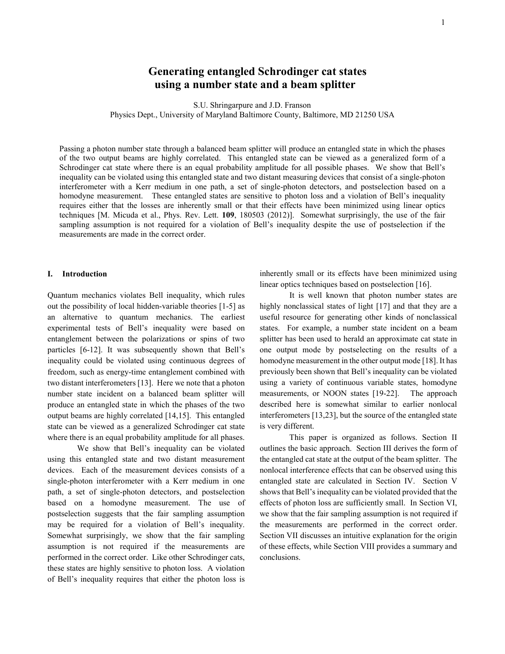# **Generating entangled Schrodinger cat states using a number state and a beam splitter**

S.U. Shringarpure and J.D. Franson

Physics Dept., University of Maryland Baltimore County, Baltimore, MD 21250 USA

Passing a photon number state through a balanced beam splitter will produce an entangled state in which the phases of the two output beams are highly correlated. This entangled state can be viewed as a generalized form of a Schrodinger cat state where there is an equal probability amplitude for all possible phases. We show that Bell's inequality can be violated using this entangled state and two distant measuring devices that consist of a single-photon interferometer with a Kerr medium in one path, a set of single-photon detectors, and postselection based on a homodyne measurement. These entangled states are sensitive to photon loss and a violation of Bell's inequality requires either that the losses are inherently small or that their effects have been minimized using linear optics techniques [M. Micuda et al., Phys. Rev. Lett. **109**, 180503 (2012)]. Somewhat surprisingly, the use of the fair sampling assumption is not required for a violation of Bell's inequality despite the use of postselection if the measurements are made in the correct order.

# **I. Introduction**

Quantum mechanics violates Bell inequality, which rules out the possibility of local hidden-variable theories [1-5] as an alternative to quantum mechanics. The earliest experimental tests of Bell's inequality were based on entanglement between the polarizations or spins of two particles [6-12]. It was subsequently shown that Bell's inequality could be violated using continuous degrees of freedom, such as energy-time entanglement combined with two distant interferometers [13]. Here we note that a photon number state incident on a balanced beam splitter will produce an entangled state in which the phases of the two output beams are highly correlated [14,15]. This entangled state can be viewed as a generalized Schrodinger cat state where there is an equal probability amplitude for all phases.

We show that Bell's inequality can be violated using this entangled state and two distant measurement devices. Each of the measurement devices consists of a single-photon interferometer with a Kerr medium in one path, a set of single-photon detectors, and postselection based on a homodyne measurement. The use of postselection suggests that the fair sampling assumption may be required for a violation of Bell's inequality. Somewhat surprisingly, we show that the fair sampling assumption is not required if the measurements are performed in the correct order. Like other Schrodinger cats, these states are highly sensitive to photon loss. A violation of Bell's inequality requires that either the photon loss is

inherently small or its effects have been minimized using linear optics techniques based on postselection [16].

It is well known that photon number states are highly nonclassical states of light [17] and that they are a useful resource for generating other kinds of nonclassical states. For example, a number state incident on a beam splitter has been used to herald an approximate cat state in one output mode by postselecting on the results of a homodyne measurement in the other output mode [18]. It has previously been shown that Bell's inequality can be violated using a variety of continuous variable states, homodyne measurements, or NOON states [19-22]. The approach described here is somewhat similar to earlier nonlocal interferometers [13,23], but the source of the entangled state is very different.

This paper is organized as follows. Section II outlines the basic approach. Section III derives the form of the entangled cat state at the output of the beam splitter. The nonlocal interference effects that can be observed using this entangled state are calculated in Section IV. Section V shows that Bell's inequality can be violated provided that the effects of photon loss are sufficiently small. In Section VI, we show that the fair sampling assumption is not required if the measurements are performed in the correct order. Section VII discusses an intuitive explanation for the origin of these effects, while Section VIII provides a summary and conclusions.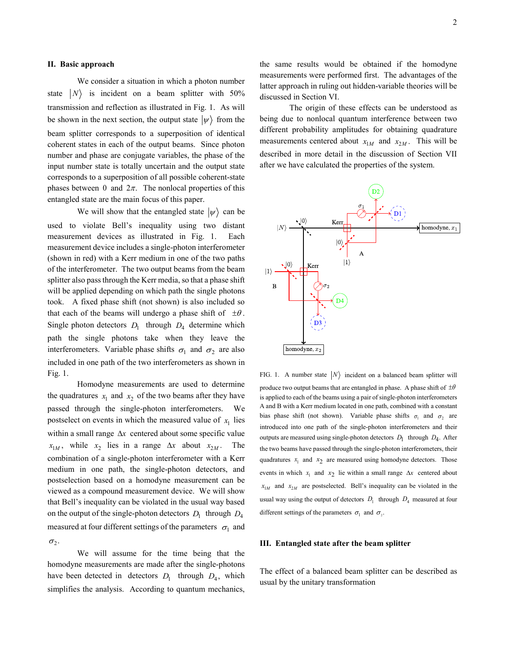#### **II. Basic approach**

We consider a situation in which a photon number state  $|N\rangle$  is incident on a beam splitter with 50% transmission and reflection as illustrated in Fig. 1. As will be shown in the next section, the output state  $|\psi\rangle$  from the beam splitter corresponds to a superposition of identical coherent states in each of the output beams. Since photon number and phase are conjugate variables, the phase of the input number state is totally uncertain and the output state corresponds to a superposition of all possible coherent-state phases between 0 and  $2\pi$ . The nonlocal properties of this entangled state are the main focus of this paper.

We will show that the entangled state  $|\psi\rangle$  can be used to violate Bell's inequality using two distant measurement devices as illustrated in Fig. 1. Each measurement device includes a single-photon interferometer (shown in red) with a Kerr medium in one of the two paths of the interferometer. The two output beams from the beam splitter also pass through the Kerr media, so that a phase shift will be applied depending on which path the single photons took. A fixed phase shift (not shown) is also included so that each of the beams will undergo a phase shift of  $\pm\theta$ . Single photon detectors  $D_1$  through  $D_4$  determine which path the single photons take when they leave the interferometers. Variable phase shifts  $\sigma_1$  and  $\sigma_2$  are also included in one path of the two interferometers as shown in Fig. 1.

Homodyne measurements are used to determine the quadratures  $x_1$  and  $x_2$  of the two beams after they have passed through the single-photon interferometers. We postselect on events in which the measured value of  $x_1$  lies within a small range ∆*x* centered about some specific value  $x_{1M}$ , while  $x_2$  lies in a range  $\Delta x$  about  $x_{2M}$ . The combination of a single-photon interferometer with a Kerr medium in one path, the single-photon detectors, and postselection based on a homodyne measurement can be viewed as a compound measurement device. We will show that Bell's inequality can be violated in the usual way based on the output of the single-photon detectors  $D_1$  through  $D_4$ measured at four different settings of the parameters  $\sigma_1$  and  $\sigma_2$ .

We will assume for the time being that the homodyne measurements are made after the single-photons have been detected in detectors  $D_1$  through  $D_4$ , which simplifies the analysis. According to quantum mechanics, the same results would be obtained if the homodyne measurements were performed first. The advantages of the latter approach in ruling out hidden-variable theories will be discussed in Section VI.

The origin of these effects can be understood as being due to nonlocal quantum interference between two different probability amplitudes for obtaining quadrature measurements centered about  $x_{1M}$  and  $x_{2M}$ . This will be described in more detail in the discussion of Section VII after we have calculated the properties of the system.



FIG. 1. A number state  $|N\rangle$  incident on a balanced beam splitter will produce two output beams that are entangled in phase. A phase shift of  $\pm\theta$ is applied to each of the beams using a pair of single-photon interferometers A and B with a Kerr medium located in one path, combined with a constant bias phase shift (not shown). Variable phase shifts  $\sigma_1$  and  $\sigma_2$  are introduced into one path of the single-photon interferometers and their outputs are measured using single-photon detectors  $D_1$  through  $D_4$ . After the two beams have passed through the single-photon interferometers, their quadratures  $x_1$  and  $x_2$  are measured using homodyne detectors. Those events in which  $x_1$  and  $x_2$  lie within a small range  $\Delta x$  centered about  $x_{1M}$  and  $x_{2M}$  are postselected. Bell's inequality can be violated in the usual way using the output of detectors  $D_1$  through  $D_4$  measured at four different settings of the parameters  $\sigma_1$  and  $\sigma_2$ .

# **III. Entangled state after the beam splitter**

The effect of a balanced beam splitter can be described as usual by the unitary transformation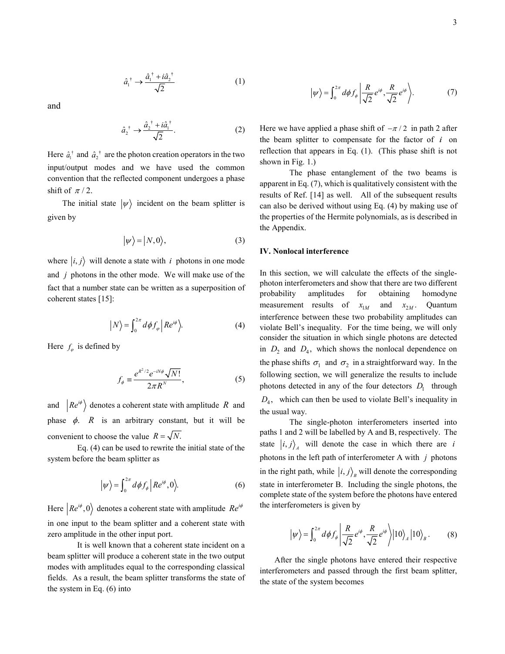$$
\hat{a}_1^{\dagger} \rightarrow \frac{\hat{a}_1^{\dagger} + i\hat{a}_2^{\dagger}}{\sqrt{2}} \tag{1}
$$

and

$$
\hat{a}_2^{\dagger} \rightarrow \frac{\hat{a}_2^{\dagger} + i\hat{a}_1^{\dagger}}{\sqrt{2}}.
$$
 (2)

Here  $\hat{a}_1^{\dagger}$  and  $\hat{a}_2^{\dagger}$  are the photon creation operators in the two input/output modes and we have used the common convention that the reflected component undergoes a phase shift of  $\pi/2$ .

The initial state  $|\psi\rangle$  incident on the beam splitter is given by

$$
|\psi\rangle = |N,0\rangle, \tag{3}
$$

where  $|i, j\rangle$  will denote a state with *i* photons in one mode and *j* photons in the other mode. We will make use of the fact that a number state can be written as a superposition of coherent states [15]:

$$
\left|N\right\rangle = \int_0^{2\pi} d\phi f_\varphi \left|Re^{i\phi}\right\rangle. \tag{4}
$$

Here  $f_{\varphi}$  is defined by

$$
f_{\phi} \equiv \frac{e^{R^2/2} e^{-iN\phi} \sqrt{N!}}{2\pi R^N},\tag{5}
$$

and  $\left| Re^{i\phi} \right\rangle$  denotes a coherent state with amplitude *R* and phase  $\phi$ . *R* is an arbitrary constant, but it will be convenient to choose the value  $R = \sqrt{N}$ .

Eq. (4) can be used to rewrite the initial state of the system before the beam splitter as

$$
|\psi\rangle = \int_0^{2\pi} d\phi f_\phi \, \Big| \, Re^{i\phi}, 0 \Big\rangle. \tag{6}
$$

Here  $\left|Re^{i\phi},0\right\rangle$  denotes a coherent state with amplitude  $Re^{i\phi}$ in one input to the beam splitter and a coherent state with zero amplitude in the other input port.

It is well known that a coherent state incident on a beam splitter will produce a coherent state in the two output modes with amplitudes equal to the corresponding classical fields. As a result, the beam splitter transforms the state of the system in Eq. (6) into

$$
|\psi\rangle = \int_0^{2\pi} d\phi f_{\phi} \left| \frac{R}{\sqrt{2}} e^{i\phi}, \frac{R}{\sqrt{2}} e^{i\phi} \right\rangle. \tag{7}
$$

Here we have applied a phase shift of  $-\pi/2$  in path 2 after the beam splitter to compensate for the factor of *i* on reflection that appears in Eq. (1). (This phase shift is not shown in Fig. 1.)

The phase entanglement of the two beams is apparent in Eq. (7), which is qualitatively consistent with the results of Ref. [14] as well. All of the subsequent results can also be derived without using Eq. (4) by making use of the properties of the Hermite polynomials, as is described in the Appendix.

# **IV. Nonlocal interference**

In this section, we will calculate the effects of the singlephoton interferometers and show that there are two different probability amplitudes for obtaining homodyne measurement results of  $x_{1M}$  and  $x_{2M}$ . Quantum interference between these two probability amplitudes can violate Bell's inequality. For the time being, we will only consider the situation in which single photons are detected in  $D_2$  and  $D_4$ , which shows the nonlocal dependence on the phase shifts  $\sigma_1$  and  $\sigma_2$  in a straightforward way. In the following section, we will generalize the results to include photons detected in any of the four detectors  $D_1$  through  $D_4$ , which can then be used to violate Bell's inequality in the usual way.

The single-photon interferometers inserted into paths 1 and 2 will be labelled by A and B, respectively. The state  $|i, j\rangle$ , will denote the case in which there are *i* photons in the left path of interferometer A with *j* photons in the right path, while  $|i, j\rangle$ <sub>*B*</sub> will denote the corresponding state in interferometer B. Including the single photons, the complete state of the system before the photons have entered the interferometers is given by

$$
\left|\psi\right\rangle = \int_0^{2\pi} d\phi f_\phi \left| \frac{R}{\sqrt{2}} e^{i\phi}, \frac{R}{\sqrt{2}} e^{i\phi} \right\rangle \left| 10 \right\rangle_A \left| 10 \right\rangle_B. \tag{8}
$$

After the single photons have entered their respective interferometers and passed through the first beam splitter, the state of the system becomes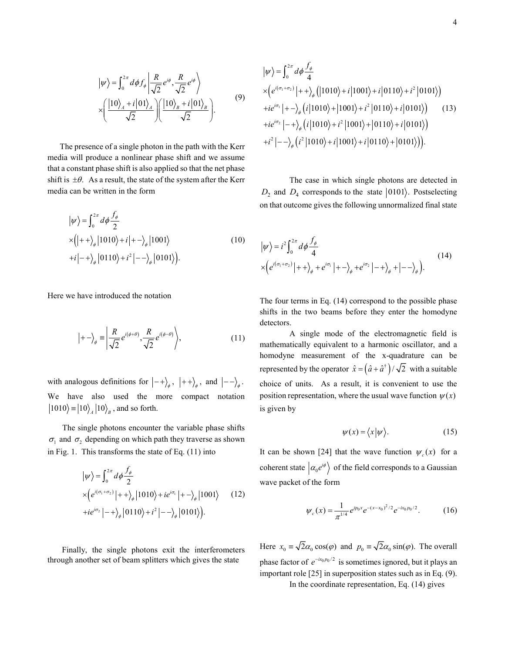$$
|\psi\rangle = \int_0^{2\pi} d\phi f_{\phi} \left| \frac{R}{\sqrt{2}} e^{i\phi}, \frac{R}{\sqrt{2}} e^{i\phi} \right\rangle
$$
  
 
$$
\times \left( \frac{|10\rangle_A + i|01\rangle_A}{\sqrt{2}} \right) \left( \frac{|10\rangle_B + i|01\rangle_B}{\sqrt{2}} \right).
$$
 (9)

 The presence of a single photon in the path with the Kerr media will produce a nonlinear phase shift and we assume that a constant phase shift is also applied so that the net phase shift is  $\pm\theta$ . As a result, the state of the system after the Kerr media can be written in the form

$$
|\psi\rangle = \int_0^{2\pi} d\phi \frac{f_\phi}{2}
$$
  
× $(|++\rangle_\phi |1010\rangle + i|+-\rangle_\phi |1001\rangle$   
+ $i|-+\rangle_\phi |0110\rangle + i^2|--\rangle_\phi |0101\rangle$ . (10)

Here we have introduced the notation

$$
|+-\rangle_{\phi} = \left| \frac{R}{\sqrt{2}} e^{i(\phi+\theta)}, \frac{R}{\sqrt{2}} e^{i(\phi-\theta)} \right\rangle, \tag{11}
$$

with analogous definitions for  $\big| - + \big\rangle_\phi \, , \ \big| + + \big\rangle_\phi \, , \ \text{and} \ \big| - - \big\rangle_\phi \, .$ We have also used the more compact notation  $|1010\rangle = |10\rangle$ <sub>4</sub>  $|10\rangle$ <sub>B</sub>, and so forth.

The single photons encounter the variable phase shifts  $\sigma_1$  and  $\sigma_2$  depending on which path they traverse as shown in Fig. 1. This transforms the state of Eq. (11) into

$$
|\psi\rangle = \int_0^{2\pi} d\phi \frac{f_\phi}{2}
$$
  
 
$$
\times \left( e^{i(\sigma_1 + \sigma_2)} |++\rangle_\phi |1010\rangle + ie^{i\sigma_1} |+-\rangle_\phi |1001\rangle \qquad (12)
$$
  
 
$$
+ ie^{i\sigma_2} |-+\rangle_\phi |0110\rangle + i^2 |--\rangle_\phi |0101\rangle \right).
$$

 Finally, the single photons exit the interferometers through another set of beam splitters which gives the state

$$
\begin{aligned}\n|\psi\rangle &= \int_0^{2\pi} d\phi \frac{f_\phi}{4} \\
& \times \Big(e^{i(\sigma_1 + \sigma_2)}\Big|++\big>_ \phi \Big(|1010\rangle+i\Big|1001\rangle+i\Big|0110\rangle+i^2\Big|0101\rangle\Big) \\
&+ie^{i\sigma_1}\Big|+-\big>_ \phi \Big(i\Big|1010\rangle+\Big|1001\rangle+i^2\Big|0110\rangle+i\Big|0101\rangle\Big)\n\end{aligned} \tag{13}
$$
\n
$$
+ie^{i\sigma_2}\Big|-+\big>_ \phi \Big(i\Big|1010\rangle+i^2\Big|1001\rangle+\Big|0110\rangle+i\Big|0101\rangle\Big)
$$
\n
$$
+i^2\Big|--\big>_ \phi \Big(i^2\Big|1010\rangle+i\Big|1001\rangle+i\Big|0110\rangle+\Big|0101\rangle\Big)\Big).
$$

The case in which single photons are detected in  $D_2$  and  $D_4$  corresponds to the state  $|0101\rangle$ . Postselecting on that outcome gives the following unnormalized final state

$$
\begin{split} \left| \psi \right\rangle &= i^2 \int_0^{2\pi} d\phi \frac{f_\phi}{4} \\ &\times \left( e^{i(\sigma_1 + \sigma_2)} \left| + + \right\rangle_\phi + e^{i\sigma_1} \left| + - \right\rangle_\phi + e^{i\sigma_2} \left| - + \right\rangle_\phi + \left| - - \right\rangle_\phi \right). \end{split} \tag{14}
$$

The four terms in Eq. (14) correspond to the possible phase shifts in the two beams before they enter the homodyne detectors.

A single mode of the electromagnetic field is mathematically equivalent to a harmonic oscillator, and a homodyne measurement of the x-quadrature can be represented by the operator  $\hat{x} = (\hat{a} + \hat{a}^{\dagger}) / \sqrt{2}$  with a suitable choice of units. As a result, it is convenient to use the position representation, where the usual wave function  $\psi(x)$ is given by

$$
\psi(x) = \langle x | \psi \rangle. \tag{15}
$$

It can be shown [24] that the wave function  $\psi_c(x)$  for a coherent state  $\vert \alpha_0 e^{i\phi} \rangle$  of the field corresponds to a Gaussian wave packet of the form

$$
\psi_c(x) = \frac{1}{\pi^{1/4}} e^{ip_0 x} e^{-(x-x_0)^2/2} e^{-ix_0 p_0/2}.
$$
 (16)

Here  $x_0 = \sqrt{2}\alpha_0 \cos(\varphi)$  and  $p_0 = \sqrt{2}\alpha_0 \sin(\varphi)$ . The overall phase factor of  $e^{-ix_0p_0/2}$  is sometimes ignored, but it plays an important role [25] in superposition states such as in Eq. (9). In the coordinate representation, Eq. (14) gives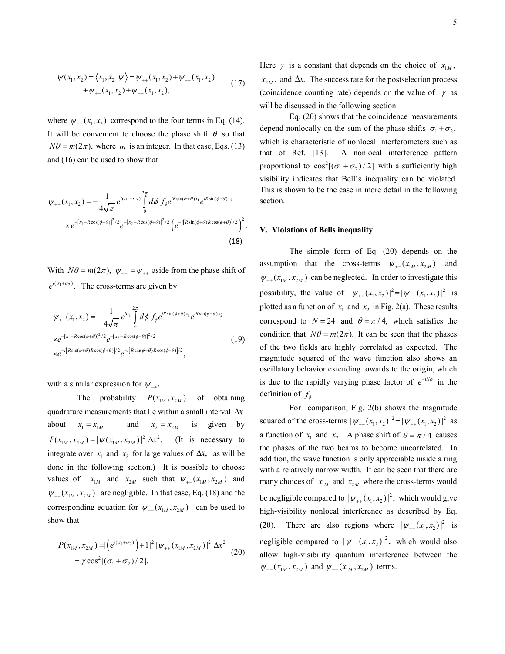$$
\psi(x_1, x_2) = \langle x_1, x_2 | \psi \rangle = \psi_{++}(x_1, x_2) + \psi_{--}(x_1, x_2)
$$
  
+ 
$$
\psi_{+-}(x_1, x_2) + \psi_{--}(x_1, x_2),
$$
 (17)

where  $\psi_{\pm\pm}(x_1, x_2)$  correspond to the four terms in Eq. (14). It will be convenient to choose the phase shift  $\theta$  so that  $N\theta = m(2\pi)$ , where *m* is an integer. In that case, Eqs. (13) and (16) can be used to show that

$$
\psi_{++}(x_1, x_2) = -\frac{1}{4\sqrt{\pi}} e^{i(\sigma_1 + \sigma_2)} \int_{0}^{2\pi} d\phi \, f_{\phi} e^{iR\sin(\phi + \theta)x_1} e^{iR\sin(\phi + \theta)x_2}
$$

$$
\times e^{-[x_1 - R\cos(\phi + \theta)]^2/2} e^{-[x_2 - R\cos(\phi + \theta)]^2/2} \left( e^{-i[R\sin(\phi + \theta)R\cos(\phi + \theta)]/2} \right)^2.
$$
(18)

With  $N\theta = m(2\pi)$ ,  $\psi_{-} = \psi_{++}$  aside from the phase shift of  $e^{i(\sigma_1 + \sigma_2)}$ . The cross-terms are given by

$$
\psi_{+-}(x_1, x_2) = -\frac{1}{4\sqrt{\pi}} e^{i\sigma_1} \int_0^{2\pi} d\phi \, f_{\phi} e^{iR\sin(\phi+\theta)x_1} e^{iR\sin(\phi-\theta)x_2}
$$
  
\n
$$
\times e^{-[x_1 - R\cos(\phi+\theta)]^2/2} e^{-[x_2 - R\cos(\phi-\theta)]^2/2}
$$
  
\n
$$
\times e^{-i[R\sin(\phi+\theta)R\cos(\phi+\theta)]/2} e^{-i[R\sin(\phi-\theta)R\cos(\phi-\theta)]/2},
$$
\n(19)

with a similar expression for  $\psi_{-+}$ .

The probability  $P(x_{1M}, x_{2M})$  of obtaining quadrature measurements that lie within a small interval ∆*x* about  $x_1 = x_{1M}$  and  $x_2 = x_{2M}$  is given by  $P(x_{1M}, x_{2M}) = |\psi(x_{1M}, x_{2M})|^2 \Delta x^2$ . (It is necessary to integrate over  $x_1$  and  $x_2$  for large values of  $\Delta x$ , as will be done in the following section.) It is possible to choose values of  $x_{1M}$  and  $x_{2M}$  such that  $\psi_{+-}(x_{1M}, x_{2M})$  and  $\psi_{-+}(x_{1M}, x_{2M})$  are negligible. In that case, Eq. (18) and the corresponding equation for  $\psi_{-}(x_{1M}, x_{2M})$  can be used to show that

$$
P(x_{1M}, x_{2M}) = |(e^{i(\sigma_1 + \sigma_2)}) + 1|^2 | \psi_{++}(x_{1M}, x_{2M})|^2 \Delta x^2
$$
  
=  $\gamma \cos^2[(\sigma_1 + \sigma_2)/2].$  (20)

Here  $\gamma$  is a constant that depends on the choice of  $x_{1M}$ ,  $x_{2M}$ , and  $\Delta x$ . The success rate for the postselection process (coincidence counting rate) depends on the value of  $\gamma$  as will be discussed in the following section.

Eq. (20) shows that the coincidence measurements depend nonlocally on the sum of the phase shifts  $\sigma_1 + \sigma_2$ , which is characteristic of nonlocal interferometers such as that of Ref. [13]. A nonlocal interference pattern proportional to  $\cos^2[(\sigma_1 + \sigma_2)/2]$  with a sufficiently high visibility indicates that Bell's inequality can be violated. This is shown to be the case in more detail in the following section.

#### **V. Violations of Bells inequality**

The simple form of Eq. (20) depends on the assumption that the cross-terms  $\psi_{+}(x_{1M}, x_{2M})$  and  $\psi_{-+}(x_{1M}, x_{2M})$  can be neglected. In order to investigate this possibility, the value of  $|\psi_{+}(x_1, x_2)|^2 = |\psi_{-}(x_1, x_2)|^2$  is plotted as a function of  $x_1$  and  $x_2$  in Fig. 2(a). These results correspond to  $N = 24$  and  $\theta = \pi/4$ , which satisfies the condition that  $N\theta = m(2\pi)$ . It can be seen that the phases of the two fields are highly correlated as expected. The magnitude squared of the wave function also shows an oscillatory behavior extending towards to the origin, which is due to the rapidly varying phase factor of  $e^{-iN\phi}$  in the definition of  $f_{\phi}$ .

For comparison, Fig. 2(b) shows the magnitude squared of the cross-terms  $|\psi_{+}(x_1, x_2)|^2 = |\psi_{-+}(x_1, x_2)|^2$  as a function of  $x_1$  and  $x_2$ . A phase shift of  $\theta = \pi/4$  causes the phases of the two beams to become uncorrelated. In addition, the wave function is only appreciable inside a ring with a relatively narrow width. It can be seen that there are many choices of  $x_{1M}$  and  $x_{2M}$  where the cross-terms would be negligible compared to  $|\psi_{+}(x_1, x_2)|^2$ , which would give high-visibility nonlocal interference as described by Eq. (20). There are also regions where  $|\psi_{+}(x_1, x_2)|^2$  is negligible compared to  $|\psi_{+}(x_1, x_2)|^2$ , which would also allow high-visibility quantum interference between the  $\psi_{+}(x_{1M}, x_{2M})$  and  $\psi_{-+}(x_{1M}, x_{2M})$  terms.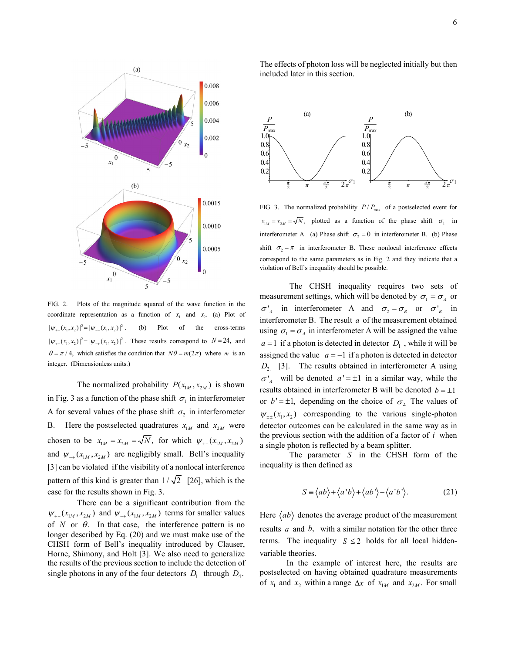

FIG. 2. Plots of the magnitude squared of the wave function in the coordinate representation as a function of  $x_1$  and  $x_2$ . (a) Plot of  $|\psi_{+}(x_1, x_2)|^2 = |\psi_{-}(x_1, x_2)|^2$ . (b) Plot of the cross-terms  $|\psi_{+}(x_1, x_2)|^2 = |\psi_{+}(x_1, x_2)|^2$ . These results correspond to *N* = 24, and  $\theta = \pi / 4$ , which satisfies the condition that  $N\theta = m(2\pi)$  where *m* is an integer. (Dimensionless units.)

The normalized probability  $P(x_{1M}, x_{2M})$  is shown in Fig. 3 as a function of the phase shift  $\sigma_1$  in interferometer A for several values of the phase shift  $\sigma_2$  in interferometer B. Here the postselected quadratures  $x_{1M}$  and  $x_{2M}$  were chosen to be  $x_{1M} = x_{2M} = \sqrt{N}$ , for which  $\psi_{+}(x_{1M}, x_{2M})$ and  $\psi_{-+}(x_{1M}, x_{2M})$  are negligibly small. Bell's inequality [3] can be violated if the visibility of a nonlocal interference pattern of this kind is greater than  $1/\sqrt{2}$  [26], which is the case for the results shown in Fig. 3.

There can be a significant contribution from the  $\psi_{+}(x_{1M}, x_{2M})$  and  $\psi_{-+}(x_{1M}, x_{2M})$  terms for smaller values of  $N$  or  $\theta$ . In that case, the interference pattern is no longer described by Eq. (20) and we must make use of the CHSH form of Bell's inequality introduced by Clauser, Horne, Shimony, and Holt [3]. We also need to generalize the results of the previous section to include the detection of single photons in any of the four detectors  $D_1$  through  $D_4$ .

The effects of photon loss will be neglected initially but then included later in this section.



FIG. 3. The normalized probability  $P/P_{\text{max}}$  of a postselected event for  $x_{1M} = x_{2M} = \sqrt{N}$ , plotted as a function of the phase shift  $\sigma_1$  in interferometer A. (a) Phase shift  $\sigma_2 = 0$  in interferometer B. (b) Phase shift  $\sigma_2 = \pi$  in interferometer B. These nonlocal interference effects correspond to the same parameters as in Fig. 2 and they indicate that a violation of Bell's inequality should be possible.

The CHSH inequality requires two sets of measurement settings, which will be denoted by  $\sigma_1 = \sigma_A$  or  $\sigma'_{A}$  in interferometer A and  $\sigma_{2} = \sigma_{B}$  or  $\sigma'_{B}$  in interferometer B. The result  $a$  of the measurement obtained using  $\sigma_1 = \sigma_A$  in interferometer A will be assigned the value  $a = 1$  if a photon is detected in detector  $D_1$ , while it will be assigned the value  $a = -1$  if a photon is detected in detector *D*<sub>2</sub> [3]. The results obtained in interferometer A using  $\sigma'_{A}$  will be denoted  $a' = \pm 1$  in a similar way, while the results obtained in interferometer B will be denoted  $b = \pm 1$ or  $b' = \pm 1$ , depending on the choice of  $\sigma$ , The values of  $\psi_{++}(x_1, x_2)$  corresponding to the various single-photon detector outcomes can be calculated in the same way as in the previous section with the addition of a factor of *i* when a single photon is reflected by a beam splitter.

The parameter *S* in the CHSH form of the inequality is then defined as

$$
S \equiv \langle ab \rangle + \langle a'b \rangle + \langle ab' \rangle - \langle a'b' \rangle. \tag{21}
$$

Here  $\langle ab \rangle$  denotes the average product of the measurement results *a* and *b*, with a similar notation for the other three terms. The inequality  $|S| \le 2$  holds for all local hiddenvariable theories.

 In the example of interest here, the results are postselected on having obtained quadrature measurements of  $x_1$  and  $x_2$  within a range  $\Delta x$  of  $x_{1M}$  and  $x_{2M}$ . For small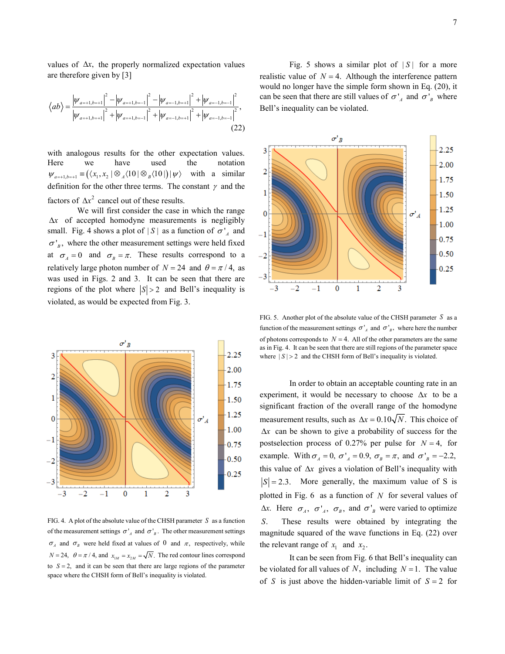values of ∆*x*, the properly normalized expectation values are therefore given by [3]

$$
\langle ab \rangle = \frac{|\psi_{a=+1,b=+1}|^2 - |\psi_{a=+1,b=-1}|^2 - |\psi_{a=-1,b=+1}|^2 + |\psi_{a=-1,b=-1}|^2}{|\psi_{a=+1,b=+1}|^2 + |\psi_{a=-1,b=-1}|^2 + |\psi_{a=-1,b=-1}|^2},
$$
\n(22)

with analogous results for the other expectation values. Here we have used the notation  $\psi_{a=+1,b=+1} \equiv (\langle x_1, x_2 \rangle \otimes \langle 10 \rangle \otimes \langle 10 \rangle \otimes \langle 10 \rangle \otimes \langle 10 \rangle \otimes \langle 10 \rangle$  with a similar definition for the other three terms. The constant  $\gamma$  and the factors of  $\Delta x^2$  cancel out of these results.

We will first consider the case in which the range ∆*x* of accepted homodyne measurements is negligibly small. Fig. 4 shows a plot of  $|S|$  as a function of  $\sigma'_{A}$  and  $\sigma'_{B}$ , where the other measurement settings were held fixed at  $\sigma_A = 0$  and  $\sigma_B = \pi$ . These results correspond to a relatively large photon number of  $N = 24$  and  $\theta = \pi/4$ , as was used in Figs. 2 and 3. It can be seen that there are regions of the plot where  $|S| > 2$  and Bell's inequality is violated, as would be expected from Fig. 3.



FIG. 4. A plot of the absolute value of the CHSH parameter  $S$  as a function of the measurement settings  $\sigma'_{A}$  and  $\sigma'_{B}$ . The other measurement settings  $\sigma_A$  and  $\sigma_B$  were held fixed at values of 0 and  $\pi$ , respectively, while  $N = 24$ ,  $\theta = \pi / 4$ , and  $x_{iM} = x_{iM} = \sqrt{N}$ . The red contour lines correspond to  $S = 2$ , and it can be seen that there are large regions of the parameter space where the CHSH form of Bell's inequality is violated.

Fig. 5 shows a similar plot of  $|S|$  for a more realistic value of  $N = 4$ . Although the interference pattern would no longer have the simple form shown in Eq. (20), it can be seen that there are still values of  $\sigma'_{A}$  and  $\sigma'_{B}$  where Bell's inequality can be violated.



FIG. 5. Another plot of the absolute value of the CHSH parameter *S* as a function of the measurement settings  $\sigma'_{A}$  and  $\sigma'_{B}$ , where here the number of photons corresponds to  $N = 4$ . All of the other parameters are the same as in Fig. 4. It can be seen that there are still regions of the parameter space where  $|S| > 2$  and the CHSH form of Bell's inequality is violated.

In order to obtain an acceptable counting rate in an experiment, it would be necessary to choose ∆*x* to be a significant fraction of the overall range of the homodyne measurement results, such as  $\Delta x = 0.10 \sqrt{N}$ . This choice of ∆*x* can be shown to give a probability of success for the postselection process of 0.27% per pulse for  $N = 4$ , for example. With  $\sigma_A = 0$ ,  $\sigma'_{A} = 0.9$ ,  $\sigma_B = \pi$ , and  $\sigma'_{B} = -2.2$ , this value of ∆*x* gives a violation of Bell's inequality with  $|S| = 2.3$ . More generally, the maximum value of S is plotted in Fig. 6 as a function of *N* for several values of  $Δx$ . Here  $σ_4$ ,  $σ'_4$ ,  $σ_B$ , and  $σ'_B$  were varied to optimize *S*. These results were obtained by integrating the magnitude squared of the wave functions in Eq. (22) over the relevant range of  $x_1$  and  $x_2$ .

It can be seen from Fig. 6 that Bell's inequality can be violated for all values of *N*, including  $N = 1$ . The value of *S* is just above the hidden-variable limit of  $S = 2$  for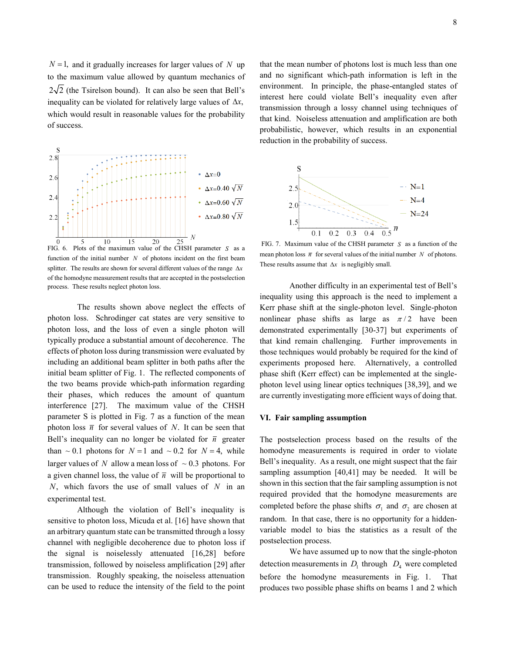$N = 1$ , and it gradually increases for larger values of *N* up to the maximum value allowed by quantum mechanics of  $2\sqrt{2}$  (the Tsirelson bound). It can also be seen that Bell's inequality can be violated for relatively large values of ∆*x*, which would result in reasonable values for the probability of success.



FIG. 6. Plots of the maximum value of the CHSH parameter *S* as a function of the initial number *N* of photons incident on the first beam splitter. The results are shown for several different values of the range ∆*x* of the homodyne measurement results that are accepted in the postselection process. These results neglect photon loss.

The results shown above neglect the effects of photon loss. Schrodinger cat states are very sensitive to photon loss, and the loss of even a single photon will typically produce a substantial amount of decoherence. The effects of photon loss during transmission were evaluated by including an additional beam splitter in both paths after the initial beam splitter of Fig. 1. The reflected components of the two beams provide which-path information regarding their phases, which reduces the amount of quantum interference [27]. The maximum value of the CHSH parameter S is plotted in Fig. 7 as a function of the mean photon loss  $\overline{n}$  for several values of *N*. It can be seen that Bell's inequality can no longer be violated for  $\bar{n}$  greater than  $\sim 0.1$  photons for  $N = 1$  and  $\sim 0.2$  for  $N = 4$ , while larger values of *N* allow a mean loss of  $\sim 0.3$  photons. For a given channel loss, the value of  $\bar{n}$  will be proportional to *N*, which favors the use of small values of *N* in an experimental test.

Although the violation of Bell's inequality is sensitive to photon loss, Micuda et al. [16] have shown that an arbitrary quantum state can be transmitted through a lossy channel with negligible decoherence due to photon loss if the signal is noiselessly attenuated [16,28] before transmission, followed by noiseless amplification [29] after transmission. Roughly speaking, the noiseless attenuation can be used to reduce the intensity of the field to the point that the mean number of photons lost is much less than one and no significant which-path information is left in the environment. In principle, the phase-entangled states of interest here could violate Bell's inequality even after transmission through a lossy channel using techniques of that kind. Noiseless attenuation and amplification are both probabilistic, however, which results in an exponential reduction in the probability of success.



FIG. 7. Maximum value of the CHSH parameter *S* as a function of the mean photon loss  $\bar{n}$  for several values of the initial number *N* of photons. These results assume that ∆*x* is negligibly small.

Another difficulty in an experimental test of Bell's inequality using this approach is the need to implement a Kerr phase shift at the single-photon level. Single-photon nonlinear phase shifts as large as  $\pi/2$  have been demonstrated experimentally [30-37] but experiments of that kind remain challenging. Further improvements in those techniques would probably be required for the kind of experiments proposed here. Alternatively, a controlled phase shift (Kerr effect) can be implemented at the singlephoton level using linear optics techniques [38,39], and we are currently investigating more efficient ways of doing that.

## **VI. Fair sampling assumption**

The postselection process based on the results of the homodyne measurements is required in order to violate Bell's inequality. As a result, one might suspect that the fair sampling assumption [40,41] may be needed. It will be shown in this section that the fair sampling assumption is not required provided that the homodyne measurements are completed before the phase shifts  $\sigma_1$  and  $\sigma_2$  are chosen at random. In that case, there is no opportunity for a hiddenvariable model to bias the statistics as a result of the postselection process.

We have assumed up to now that the single-photon detection measurements in  $D_1$  through  $D_4$  were completed before the homodyne measurements in Fig. 1. That produces two possible phase shifts on beams 1 and 2 which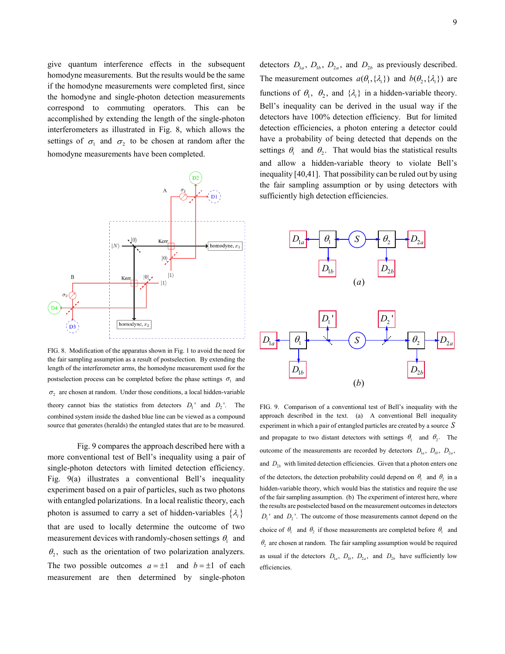give quantum interference effects in the subsequent homodyne measurements. But the results would be the same if the homodyne measurements were completed first, since the homodyne and single-photon detection measurements correspond to commuting operators. This can be accomplished by extending the length of the single-photon interferometers as illustrated in Fig. 8, which allows the settings of  $\sigma_1$  and  $\sigma_2$  to be chosen at random after the homodyne measurements have been completed.



FIG. 8. Modification of the apparatus shown in Fig. 1 to avoid the need for the fair sampling assumption as a result of postselection. By extending the length of the interferometer arms, the homodyne measurement used for the postselection process can be completed before the phase settings  $\sigma_1$  and  $\sigma_2$  are chosen at random. Under those conditions, a local hidden-variable theory cannot bias the statistics from detectors  $D_1$ <sup>'</sup> and  $D_2$ <sup>'</sup>. The combined system inside the dashed blue line can be viewed as a compound source that generates (heralds) the entangled states that are to be measured.

Fig. 9 compares the approach described here with a more conventional test of Bell's inequality using a pair of single-photon detectors with limited detection efficiency. Fig. 9(a) illustrates a conventional Bell's inequality experiment based on a pair of particles, such as two photons with entangled polarizations. In a local realistic theory, each photon is assumed to carry a set of hidden-variables  $\{\lambda_i\}$ that are used to locally determine the outcome of two measurement devices with randomly-chosen settings  $\theta_1$  and  $\theta_2$ , such as the orientation of two polarization analyzers. The two possible outcomes  $a = \pm 1$  and  $b = \pm 1$  of each measurement are then determined by single-photon detectors  $D_{1a}$ ,  $D_{1b}$ ,  $D_{2a}$ , and  $D_{2b}$  as previously described. The measurement outcomes  $a(\theta_1, {\lambda_i})$  and  $b(\theta_2, {\lambda_i})$  are functions of  $\theta_1$ ,  $\theta_2$ , and  $\{\lambda_i\}$  in a hidden-variable theory. Bell's inequality can be derived in the usual way if the detectors have 100% detection efficiency. But for limited detection efficiencies, a photon entering a detector could have a probability of being detected that depends on the settings  $\theta_1$  and  $\theta_2$ . That would bias the statistical results and allow a hidden-variable theory to violate Bell's inequality [40,41]. That possibility can be ruled out by using the fair sampling assumption or by using detectors with sufficiently high detection efficiencies.



FIG. 9. Comparison of a conventional test of Bell's inequality with the approach described in the text. (a) A conventional Bell inequality experiment in which a pair of entangled particles are created by a source *S* and propagate to two distant detectors with settings  $\theta_1$  and  $\theta_2$ . The outcome of the measurements are recorded by detectors  $D_{1a}$ ,  $D_{1b}$ ,  $D_{2a}$ , and  $D_{2b}$  with limited detection efficiencies. Given that a photon enters one of the detectors, the detection probability could depend on  $\theta_1$  and  $\theta_2$  in a hidden-variable theory, which would bias the statistics and require the use of the fair sampling assumption. (b) The experiment of interest here, where the results are postselected based on the measurement outcomes in detectors  $D_1$ <sup>'</sup> and  $D_2$ <sup>'</sup>. The outcome of those measurements cannot depend on the choice of  $\theta_1$  and  $\theta_2$  if those measurements are completed before  $\theta_1$  and  $\theta$ , are chosen at random. The fair sampling assumption would be required as usual if the detectors  $D_{1a}$ ,  $D_{1b}$ ,  $D_{2a}$ , and  $D_{2b}$  have sufficiently low efficiencies.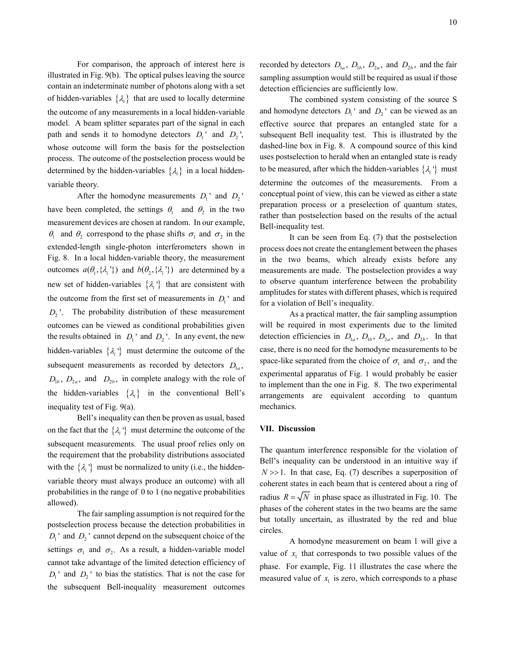For comparison, the approach of interest here is illustrated in Fig. 9(b). The optical pulses leaving the source contain an indeterminate number of photons along with a set of hidden-variables  $\{\lambda_i\}$  that are used to locally determine the outcome of any measurements in a local hidden-variable model. A beam splitter separates part of the signal in each path and sends it to homodyne detectors  $D_1$  and  $D_2$ , whose outcome will form the basis for the postselection process. The outcome of the postselection process would be determined by the hidden-variables  $\{\lambda_i\}$  in a local hiddenvariable theory.

After the homodyne measurements  $D_1$ <sup>'</sup> and  $D_2$ <sup>'</sup> have been completed, the settings  $\theta_1$  and  $\theta_2$  in the two measurement devices are chosen at random. In our example,  $θ_1$  and  $θ_2$  correspond to the phase shifts  $σ_1$  and  $σ_2$  in the extended-length single-photon interferometers shown in Fig. 8. In a local hidden-variable theory, the measurement outcomes  $a(\theta_1, {\lambda_i}^n)$  and  $b(\theta_2, {\lambda_i}^n)$  are determined by a new set of hidden-variables  $\{\lambda_i\}$  that are consistent with the outcome from the first set of measurements in  $D_1$ <sup>'</sup> and D<sub>2</sub>'. The probability distribution of these measurement outcomes can be viewed as conditional probabilities given the results obtained in  $D_1$  and  $D_2$  '. In any event, the new hidden-variables  $\{\lambda_i\}$  must determine the outcome of the subsequent measurements as recorded by detectors  $D_{1a}$ ,  $D_{1b}$ ,  $D_{2a}$ , and  $D_{2b}$ , in complete analogy with the role of the hidden-variables  $\{\lambda_i\}$  in the conventional Bell's inequality test of Fig. 9(a).

Bell's inequality can then be proven as usual, based on the fact that the  $\{\lambda_i\}$  must determine the outcome of the subsequent measurements. The usual proof relies only on the requirement that the probability distributions associated with the  $\{\lambda_i\}$  must be normalized to unity (i.e., the hiddenvariable theory must always produce an outcome) with all probabilities in the range of 0 to 1 (no negative probabilities allowed).

The fair sampling assumption is not required for the postselection process because the detection probabilities in  $D_1$ <sup>'</sup> and  $D_2$ <sup>'</sup> cannot depend on the subsequent choice of the settings  $\sigma_1$  and  $\sigma_2$ . As a result, a hidden-variable model cannot take advantage of the limited detection efficiency of  $D_1$ <sup>'</sup> and  $D_2$ <sup>'</sup> to bias the statistics. That is not the case for the subsequent Bell-inequality measurement outcomes

recorded by detectors  $D_{1a}$ ,  $D_{1b}$ ,  $D_{2a}$ , and  $D_{2b}$ , and the fair sampling assumption would still be required as usual if those detection efficiencies are sufficiently low.

The combined system consisting of the source S and homodyne detectors  $D_1$ <sup>'</sup> and  $D_2$ <sup>'</sup> can be viewed as an effective source that prepares an entangled state for a subsequent Bell inequality test. This is illustrated by the dashed-line box in Fig. 8. A compound source of this kind uses postselection to herald when an entangled state is ready to be measured, after which the hidden-variables  $\{\lambda_i\}$  must determine the outcomes of the measurements. From a conceptual point of view, this can be viewed as either a state preparation process or a preselection of quantum states, rather than postselection based on the results of the actual Bell-inequality test.

It can be seen from Eq. (7) that the postselection process does not create the entanglement between the phases in the two beams, which already exists before any measurements are made. The postselection provides a way to observe quantum interference between the probability amplitudes for states with different phases, which is required for a violation of Bell's inequality.

As a practical matter, the fair sampling assumption will be required in most experiments due to the limited detection efficiencies in  $D_{1a}$ ,  $D_{1b}$ ,  $D_{2a}$ , and  $D_{2b}$ . In that case, there is no need for the homodyne measurements to be space-like separated from the choice of  $\sigma_1$  and  $\sigma_2$ , and the experimental apparatus of Fig. 1 would probably be easier to implement than the one in Fig. 8. The two experimental arrangements are equivalent according to quantum mechanics.

## **VII. Discussion**

The quantum interference responsible for the violation of Bell's inequality can be understood in an intuitive way if  $N \gg 1$ . In that case, Eq. (7) describes a superposition of coherent states in each beam that is centered about a ring of radius  $R = \sqrt{N}$  in phase space as illustrated in Fig. 10. The phases of the coherent states in the two beams are the same but totally uncertain, as illustrated by the red and blue circles.

A homodyne measurement on beam 1 will give a value of  $x_1$  that corresponds to two possible values of the phase. For example, Fig. 11 illustrates the case where the measured value of  $x_1$  is zero, which corresponds to a phase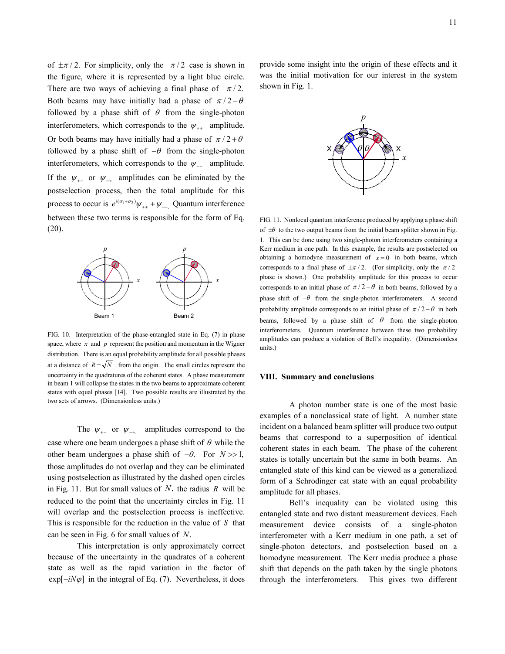of  $\pm \pi/2$ . For simplicity, only the  $\pi/2$  case is shown in the figure, where it is represented by a light blue circle. There are two ways of achieving a final phase of  $\pi/2$ . Both beams may have initially had a phase of  $\pi/2 - \theta$ followed by a phase shift of  $\theta$  from the single-photon interferometers, which corresponds to the  $\psi_{++}$  amplitude. Or both beams may have initially had a phase of  $\pi/2 + \theta$ followed by a phase shift of  $-\theta$  from the single-photon interferometers, which corresponds to the  $\psi_{-}$  amplitude. If the  $\psi_{\perp}$  or  $\psi_{\perp}$  amplitudes can be eliminated by the postselection process, then the total amplitude for this process to occur is  $e^{i(\sigma_1 + \sigma_2)} \psi_{++} + \psi_{--}$ , Quantum interference between these two terms is responsible for the form of Eq. (20).



FIG. 10. Interpretation of the phase-entangled state in Eq. (7) in phase space, where  $x$  and  $p$  represent the position and momentum in the Wigner distribution. There is an equal probability amplitude for all possible phases at a distance of  $R = \sqrt{N}$  from the origin. The small circles represent the uncertainty in the quadratures of the coherent states. A phase measurement in beam 1 will collapse the states in the two beams to approximate coherent states with equal phases [14]. Two possible results are illustrated by the two sets of arrows. (Dimensionless units.)

The  $\psi_{+-}$  or  $\psi_{-+}$  amplitudes correspond to the case where one beam undergoes a phase shift of  $\theta$  while the other beam undergoes a phase shift of −θ. For *N* >> 1, those amplitudes do not overlap and they can be eliminated using postselection as illustrated by the dashed open circles in Fig. 11. But for small values of *N*, the radius *R* will be reduced to the point that the uncertainty circles in Fig. 11 will overlap and the postselection process is ineffective. This is responsible for the reduction in the value of *S* that can be seen in Fig. 6 for small values of *N*.

This interpretation is only approximately correct because of the uncertainty in the quadrates of a coherent state as well as the rapid variation in the factor of  $exp[-iN\varphi]$  in the integral of Eq. (7). Nevertheless, it does

provide some insight into the origin of these effects and it was the initial motivation for our interest in the system shown in Fig. 1.



FIG. 11. Nonlocal quantum interference produced by applying a phase shift of  $\pm\theta$  to the two output beams from the initial beam splitter shown in Fig. 1. This can be done using two single-photon interferometers containing a Kerr medium in one path. In this example, the results are postselected on obtaining a homodyne measurement of  $x = 0$  in both beams, which corresponds to a final phase of  $\pm \pi/2$ . (For simplicity, only the  $\pi/2$ phase is shown.) One probability amplitude for this process to occur corresponds to an initial phase of  $\pi/2 + \theta$  in both beams, followed by a phase shift of  $-\theta$  from the single-photon interferometers. A second probability amplitude corresponds to an initial phase of  $\pi/2 - \theta$  in both beams, followed by a phase shift of  $\theta$  from the single-photon interferometers. Quantum interference between these two probability amplitudes can produce a violation of Bell's inequality. (Dimensionless units.)

#### **VIII. Summary and conclusions**

A photon number state is one of the most basic examples of a nonclassical state of light. A number state incident on a balanced beam splitter will produce two output beams that correspond to a superposition of identical coherent states in each beam. The phase of the coherent states is totally uncertain but the same in both beams. An entangled state of this kind can be viewed as a generalized form of a Schrodinger cat state with an equal probability amplitude for all phases.

Bell's inequality can be violated using this entangled state and two distant measurement devices. Each measurement device consists of a single-photon interferometer with a Kerr medium in one path, a set of single-photon detectors, and postselection based on a homodyne measurement. The Kerr media produce a phase shift that depends on the path taken by the single photons through the interferometers. This gives two different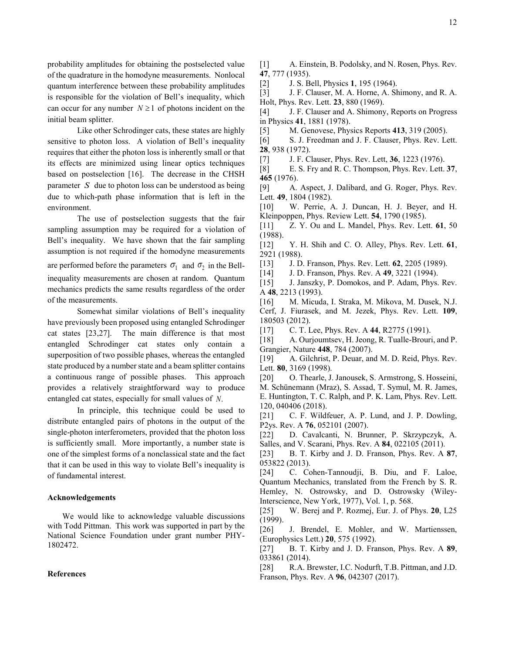Like other Schrodinger cats, these states are highly sensitive to photon loss. A violation of Bell's inequality requires that either the photon loss is inherently small or that its effects are minimized using linear optics techniques based on postselection [16]. The decrease in the CHSH parameter *S* due to photon loss can be understood as being due to which-path phase information that is left in the environment.

The use of postselection suggests that the fair sampling assumption may be required for a violation of Bell's inequality. We have shown that the fair sampling assumption is not required if the homodyne measurements are performed before the parameters  $\sigma_1$  and  $\sigma_2$  in the Bellinequality measurements are chosen at random. Quantum mechanics predicts the same results regardless of the order of the measurements.

Somewhat similar violations of Bell's inequality have previously been proposed using entangled Schrodinger cat states [23,27]. The main difference is that most entangled Schrodinger cat states only contain a superposition of two possible phases, whereas the entangled state produced by a number state and a beam splitter contains a continuous range of possible phases. This approach provides a relatively straightforward way to produce entangled cat states, especially for small values of *N*.

In principle, this technique could be used to distribute entangled pairs of photons in the output of the single-photon interferometers, provided that the photon loss is sufficiently small. More importantly, a number state is one of the simplest forms of a nonclassical state and the fact that it can be used in this way to violate Bell's inequality is of fundamental interest.

# **Acknowledgements**

We would like to acknowledge valuable discussions with Todd Pittman. This work was supported in part by the National Science Foundation under grant number PHY-1802472.

# **References**

[1] A. Einstein, B. Podolsky, and N. Rosen, Phys. Rev. **47**, 777 (1935).

[2] J. S. Bell, Physics **1**, 195 (1964).

[3] J. F. Clauser, M. A. Horne, A. Shimony, and R. A. Holt, Phys. Rev. Lett. **23**, 880 (1969).

[4] J. F. Clauser and A. Shimony, Reports on Progress in Physics **41**, 1881 (1978).

[5] M. Genovese, Physics Reports **413**, 319 (2005).

[6] S. J. Freedman and J. F. Clauser, Phys. Rev. Lett. **28**, 938 (1972).

[7] J. F. Clauser, Phys. Rev. Lett, **36**, 1223 (1976).

[8] E. S. Fry and R. C. Thompson, Phys. Rev. Lett. **37**, **465** (1976).

[9] A. Aspect, J. Dalibard, and G. Roger, Phys. Rev. Lett. **49**, 1804 (1982).

[10] W. Perrie, A. J. Duncan, H. J. Beyer, and H. Kleinpoppen, Phys. Review Lett. **54**, 1790 (1985).

[11] Z. Y. Ou and L. Mandel, Phys. Rev. Lett. **61**, 50 (1988).

[12] Y. H. Shih and C. O. Alley, Phys. Rev. Lett. **61**, 2921 (1988).

[13] J. D. Franson, Phys. Rev. Lett. **62**, 2205 (1989).

[14] J. D. Franson, Phys. Rev. A **49**, 3221 (1994).

[15] J. Janszky, P. Domokos, and P. Adam, Phys. Rev. A **48**, 2213 (1993).

[16] M. Micuda, I. Straka, M. Mikova, M. Dusek, N.J.

Cerf, J. Fiurasek, and M. Jezek, Phys. Rev. Lett. **109**, 180503 (2012).

[17] C. T. Lee, Phys. Rev. A **44**, R2775 (1991).

[18] A. Ourjoumtsev, H. Jeong, R. Tualle-Brouri, and P. Grangier, Nature **448**, 784 (2007).

[19] A. Gilchrist, P. Deuar, and M. D. Reid, Phys. Rev. Lett. **80**, 3169 (1998).

[20] O. Thearle, J. Janousek, S. Armstrong, S. Hosseini, M. Schünemann (Mraz), S. Assad, T. Symul, M. R. James, E. Huntington, T. C. Ralph, and P. K. Lam, Phys. Rev. Lett. 120, 040406 (2018).

[21] C. F. Wildfeuer, A. P. Lund, and J. P. Dowling, P2ys. Rev. A **76**, 052101 (2007).

[22] D. Cavalcanti, N. Brunner, P. Skrzypczyk, A. Salles, and V. Scarani, Phys. Rev. A **84**, 022105 (2011).

[23] B. T. Kirby and J. D. Franson, Phys. Rev. A **87**, 053822 (2013).

[24] C. Cohen-Tannoudji, B. Diu, and F. Laloe, Quantum Mechanics, translated from the French by S. R. Hemley, N. Ostrowsky, and D. Ostrowsky (Wiley-Interscience, New York, 1977), Vol. 1, p. 568.

[25] W. Berej and P. Rozmej, Eur. J. of Phys. **20**, L25 (1999).

[26] J. Brendel, E. Mohler, and W. Martienssen, (Europhysics Lett.) **20**, 575 (1992).

[27] B. T. Kirby and J. D. Franson, Phys. Rev. A **89**, 033861 (2014).

[28] R.A. Brewster, I.C. Nodurft, T.B. Pittman, and J.D. Franson, Phys. Rev. A **96**, 042307 (2017).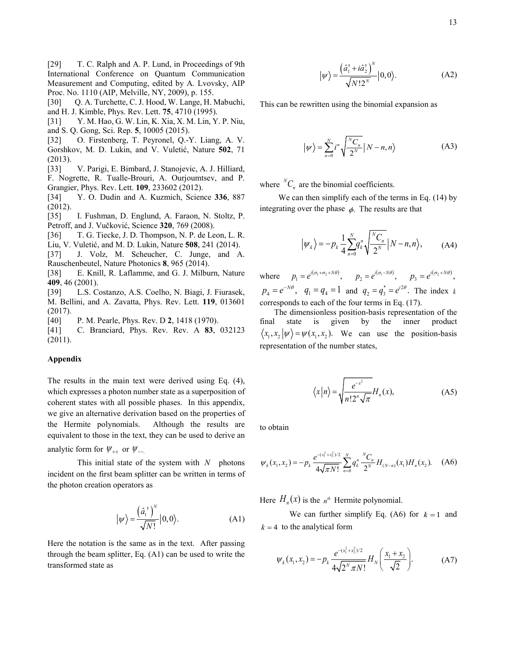[29] T. C. Ralph and A. P. Lund, in Proceedings of 9th International Conference on Quantum Communication Measurement and Computing, edited by A. Lvovsky, AIP Proc. No. 1110 (AIP, Melville, NY, 2009), p. 155.

[30] O. A. Turchette, C. J. Hood, W. Lange, H. Mabuchi, and H. J. Kimble, Phys. Rev. Lett. **75**, 4710 (1995).

[31] Y. M. Hao, G. W. Lin, K. Xia, X. M. Lin, Y. P. Niu, and S. Q. Gong, Sci. Rep. **5**, 10005 (2015).

[32] O. Firstenberg, T. Peyronel, Q.-Y. Liang, A. V. Gorshkov, M. D. Lukin, and V. Vuletić, Nature **502**, 71 (2013).

[33] V. Parigi, E. Bimbard, J. Stanojevic, A. J. Hilliard, F. Nogrette, R. Tualle-Brouri, A. Ourjoumtsev, and P. Grangier, Phys. Rev. Lett. **109**, 233602 (2012).

[34] Y. O. Dudin and A. Kuzmich, Science **336**, 887 (2012).

[35] I. Fushman, D. Englund, A. Faraon, N. Stoltz, P. Petroff, and J. Vučković, Science **320**, 769 (2008).

[36] T. G. Tiecke, J. D. Thompson, N. P. de Leon, L. R. Liu, V. Vuletić, and M. D. Lukin, Nature **508**, 241 (2014).

[37] J. Volz, M. Scheucher, C. Junge, and A. Rauschenbeutel, Nature Photonics **8**, 965 (2014).

[38] E. Knill, R. Laflamme, and G. J. Milburn, Nature **409**, 46 (2001).

[39] L.S. Costanzo, A.S. Coelho, N. Biagi, J. Fiurasek, M. Bellini, and A. Zavatta, Phys. Rev. Lett. **119**, 013601 (2017).

[40] P. M. Pearle, Phys. Rev. D **2**, 1418 (1970).

[41] C. Branciard, Phys. Rev. Rev. A **83**, 032123 (2011).

#### **Appendix**

The results in the main text were derived using Eq. (4), which expresses a photon number state as a superposition of coherent states with all possible phases. In this appendix, we give an alternative derivation based on the properties of the Hermite polynomials. Although the results are equivalent to those in the text, they can be used to derive an

analytic form for  $\psi_{++}$  or  $\psi_{--}$ .

This initial state of the system with *N* photons incident on the first beam splitter can be written in terms of the photon creation operators as

$$
|\psi\rangle = \frac{\left(\hat{a}_{1}^{+}\right)^{N}}{\sqrt{N!}}|0,0\rangle. \tag{A1}
$$

Here the notation is the same as in the text. After passing through the beam splitter, Eq. (A1) can be used to write the transformed state as

$$
|\psi\rangle = \frac{\left(\hat{a}_1^\dagger + i\hat{a}_2^\dagger\right)^N}{\sqrt{N!2^N}}|0,0\rangle. \tag{A2}
$$

This can be rewritten using the binomial expansion as

$$
|\psi\rangle = \sum_{n=0}^{N} i^n \sqrt{\frac{{}^N C_n}{2^N}} |N-n, n\rangle \tag{A3}
$$

where  ${}^N C_n$  are the binomial coefficients.

 We can then simplify each of the terms in Eq. (14) by integrating over the phase  $\phi$ . The results are that

$$
\left|\psi_{k}\right\rangle=-p_{k}\frac{1}{4}\sum_{n=0}^{N}q_{k}^{n}\sqrt{\frac{N_{C_{n}}}{2^{N}}}\left|N-n,n\right\rangle, \tag{A4}
$$

where  $p_1 = e^{i(\sigma_1 + \sigma_2 + N\theta)}$ ,  $p_2 = e^{i(\sigma_1 - N\theta)}$ ,  $p_3 = e^{i(\sigma_2 + N\theta)}$ ,  $p_4 = e^{-N\theta}$ ,  $q_1 = q_4 = 1$  and  $q_2 = q_3^* = e^{i2\theta}$ . The index *k* corresponds to each of the four terms in Eq. (17).

 The dimensionless position-basis representation of the final state is given by the inner product  $\langle x_1, x_2 | \psi \rangle = \psi(x_1, x_2)$ . We can use the position-basis representation of the number states,

$$
\langle x | n \rangle = \sqrt{\frac{e^{-x^2}}{n! 2^n \sqrt{\pi}}} H_n(x), \tag{A5}
$$

to obtain

$$
\psi_k(x_1, x_2) = -p_k \frac{e^{-(x_1^2 + x_2^2)/2}}{4\sqrt{\pi N!}} \sum_{n=0}^N q_k^n \frac{{}^N C_n}{2^N} H_{(N-n)}(x_1) H_n(x_2). \quad (A6)
$$

Here  $H_n(x)$  is the  $n^h$  Hermite polynomial.

We can further simplify Eq. (A6) for  $k = 1$  and  $k = 4$  to the analytical form

$$
\psi_k(x_1, x_2) = -p_k \frac{e^{-(x_1^2 + x_2^2)/2}}{4\sqrt{2^N \pi N!}} H_N\left(\frac{x_1 + x_2}{\sqrt{2}}\right).
$$
 (A7)